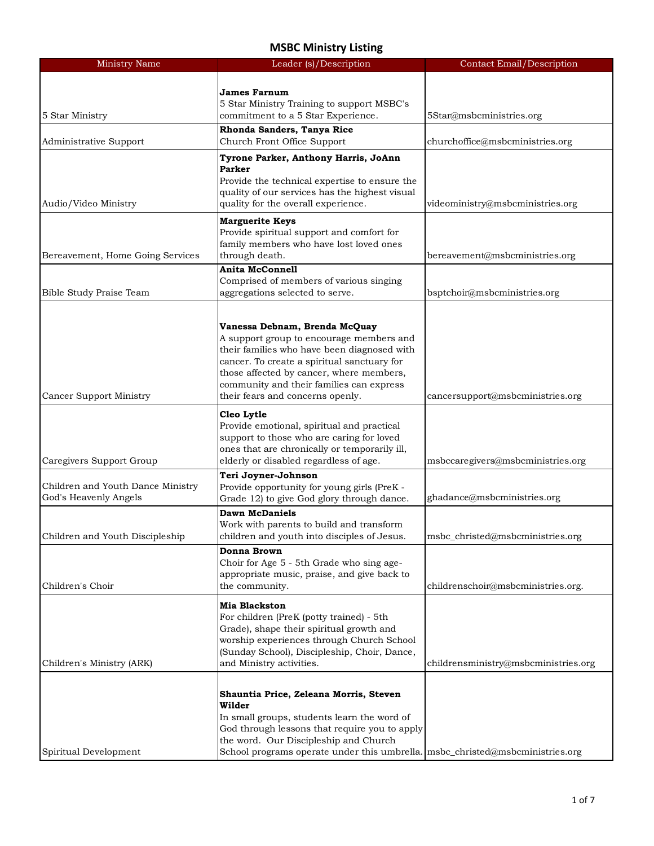| <b>Ministry Name</b>              | Leader (s)/Description                                                                   | <b>Contact Email/Description</b>     |
|-----------------------------------|------------------------------------------------------------------------------------------|--------------------------------------|
|                                   |                                                                                          |                                      |
|                                   | <b>James Farnum</b>                                                                      |                                      |
| 5 Star Ministry                   | 5 Star Ministry Training to support MSBC's<br>commitment to a 5 Star Experience.         | 5Star@msbcministries.org             |
|                                   | Rhonda Sanders, Tanya Rice                                                               |                                      |
| Administrative Support            | Church Front Office Support                                                              | churchoffice@msbcministries.org      |
|                                   |                                                                                          |                                      |
|                                   | Tyrone Parker, Anthony Harris, JoAnn<br><b>Parker</b>                                    |                                      |
|                                   | Provide the technical expertise to ensure the                                            |                                      |
|                                   | quality of our services has the highest visual                                           |                                      |
| Audio/Video Ministry              | quality for the overall experience.                                                      | videoministry@msbcministries.org     |
|                                   | <b>Marguerite Keys</b>                                                                   |                                      |
|                                   | Provide spiritual support and comfort for                                                |                                      |
|                                   | family members who have lost loved ones                                                  |                                      |
| Bereavement, Home Going Services  | through death.                                                                           | bereavement@msbcministries.org       |
|                                   | <b>Anita McConnell</b>                                                                   |                                      |
|                                   | Comprised of members of various singing                                                  |                                      |
| Bible Study Praise Team           | aggregations selected to serve.                                                          | bsptchoir@msbcministries.org         |
|                                   |                                                                                          |                                      |
|                                   | Vanessa Debnam, Brenda McQuay                                                            |                                      |
|                                   | A support group to encourage members and                                                 |                                      |
|                                   | their families who have been diagnosed with                                              |                                      |
|                                   | cancer. To create a spiritual sanctuary for                                              |                                      |
|                                   | those affected by cancer, where members,                                                 |                                      |
|                                   | community and their families can express                                                 |                                      |
| Cancer Support Ministry           | their fears and concerns openly.                                                         | cancersupport@msbcministries.org     |
|                                   | Cleo Lytle                                                                               |                                      |
|                                   | Provide emotional, spiritual and practical                                               |                                      |
|                                   | support to those who are caring for loved                                                |                                      |
|                                   | ones that are chronically or temporarily ill,                                            |                                      |
| Caregivers Support Group          | elderly or disabled regardless of age.                                                   | msbccaregivers@msbcministries.org    |
|                                   | Teri Joyner-Johnson                                                                      |                                      |
| Children and Youth Dance Ministry | Provide opportunity for young girls (PreK -                                              |                                      |
| God's Heavenly Angels             | Grade 12) to give God glory through dance.                                               | ghadance@msbcministries.org          |
|                                   | <b>Dawn McDaniels</b>                                                                    |                                      |
|                                   | Work with parents to build and transform                                                 |                                      |
| Children and Youth Discipleship   | children and youth into disciples of Jesus.                                              | msbc_christed@msbcministries.org     |
|                                   | Donna Brown                                                                              |                                      |
|                                   | Choir for Age 5 - 5th Grade who sing age-<br>appropriate music, praise, and give back to |                                      |
| Children's Choir                  |                                                                                          |                                      |
|                                   |                                                                                          |                                      |
|                                   | the community.                                                                           | childrenschoir@msbcministries.org.   |
|                                   | Mia Blackston                                                                            |                                      |
|                                   | For children (PreK (potty trained) - 5th                                                 |                                      |
|                                   | Grade), shape their spiritual growth and                                                 |                                      |
|                                   | worship experiences through Church School                                                |                                      |
|                                   | (Sunday School), Discipleship, Choir, Dance,                                             |                                      |
|                                   | and Ministry activities.                                                                 | childrensministry@msbcministries.org |
|                                   |                                                                                          |                                      |
|                                   | Shauntia Price, Zeleana Morris, Steven                                                   |                                      |
| Children's Ministry (ARK)         | Wilder                                                                                   |                                      |
|                                   | In small groups, students learn the word of                                              |                                      |
|                                   | God through lessons that require you to apply<br>the word. Our Discipleship and Church   |                                      |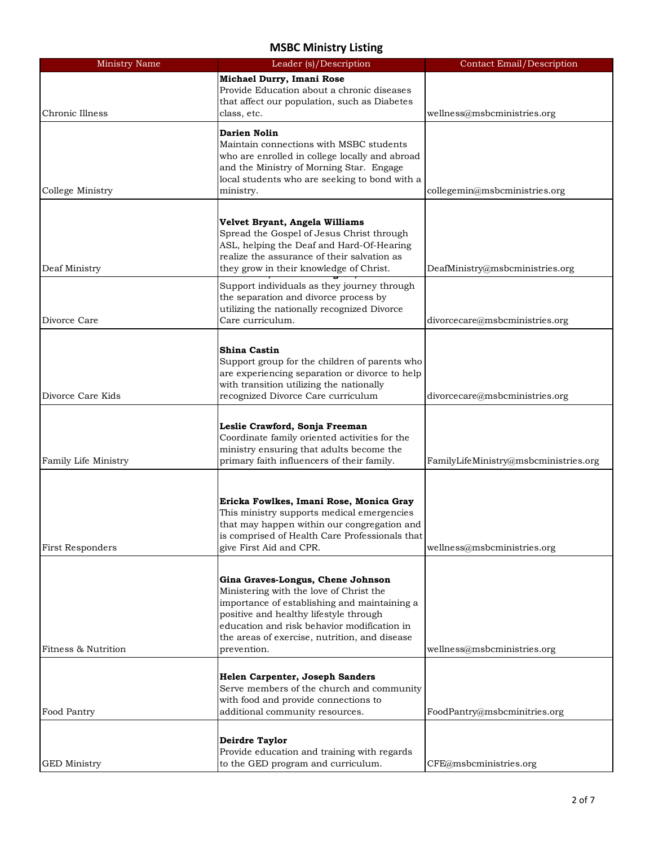| <b>Ministry Name</b> | Leader (s)/Description                                     | <b>Contact Email/Description</b>      |
|----------------------|------------------------------------------------------------|---------------------------------------|
|                      | Michael Durry, Imani Rose                                  |                                       |
|                      | Provide Education about a chronic diseases                 |                                       |
|                      | that affect our population, such as Diabetes               |                                       |
| Chronic Illness      | class, etc.                                                | wellness@msbcministries.org           |
|                      |                                                            |                                       |
|                      | Darien Nolin                                               |                                       |
|                      | Maintain connections with MSBC students                    |                                       |
|                      | who are enrolled in college locally and abroad             |                                       |
|                      | and the Ministry of Morning Star. Engage                   |                                       |
| College Ministry     | local students who are seeking to bond with a<br>ministry. | collegemin@msbcministries.org         |
|                      |                                                            |                                       |
|                      |                                                            |                                       |
|                      | Velvet Bryant, Angela Williams                             |                                       |
|                      | Spread the Gospel of Jesus Christ through                  |                                       |
|                      | ASL, helping the Deaf and Hard-Of-Hearing                  |                                       |
|                      | realize the assurance of their salvation as                |                                       |
| Deaf Ministry        | they grow in their knowledge of Christ.                    | DeafMinistry@msbcministries.org       |
|                      | Support individuals as they journey through                |                                       |
|                      | the separation and divorce process by                      |                                       |
|                      | utilizing the nationally recognized Divorce                |                                       |
| Divorce Care         | Care curriculum.                                           | divorcecare@msbcministries.org        |
|                      |                                                            |                                       |
|                      | <b>Shina Castin</b>                                        |                                       |
|                      | Support group for the children of parents who              |                                       |
|                      | are experiencing separation or divorce to help             |                                       |
|                      | with transition utilizing the nationally                   |                                       |
| Divorce Care Kids    | recognized Divorce Care curriculum                         | divorcecare@msbcministries.org        |
|                      |                                                            |                                       |
|                      | Leslie Crawford, Sonja Freeman                             |                                       |
|                      | Coordinate family oriented activities for the              |                                       |
|                      | ministry ensuring that adults become the                   |                                       |
| Family Life Ministry | primary faith influencers of their family.                 | FamilyLifeMinistry@msbcministries.org |
|                      |                                                            |                                       |
|                      |                                                            |                                       |
|                      | Ericka Fowlkes, Imani Rose, Monica Gray                    |                                       |
|                      | This ministry supports medical emergencies                 |                                       |
|                      | that may happen within our congregation and                |                                       |
|                      | is comprised of Health Care Professionals that             |                                       |
| First Responders     | give First Aid and CPR.                                    | wellness@msbcministries.org           |
|                      |                                                            |                                       |
|                      | Gina Graves-Longus, Chene Johnson                          |                                       |
|                      | Ministering with the love of Christ the                    |                                       |
|                      | importance of establishing and maintaining a               |                                       |
|                      | positive and healthy lifestyle through                     |                                       |
|                      | education and risk behavior modification in                |                                       |
|                      | the areas of exercise, nutrition, and disease              |                                       |
| Fitness & Nutrition  | prevention.                                                | wellness@msbcministries.org           |
|                      |                                                            |                                       |
|                      | Helen Carpenter, Joseph Sanders                            |                                       |
|                      | Serve members of the church and community                  |                                       |
|                      | with food and provide connections to                       |                                       |
| Food Pantry          | additional community resources.                            | FoodPantry@msbcminitries.org          |
|                      |                                                            |                                       |
|                      | <b>Deirdre Taylor</b>                                      |                                       |
|                      | Provide education and training with regards                |                                       |
| <b>GED Ministry</b>  | to the GED program and curriculum.                         | CFE@msbcministries.org                |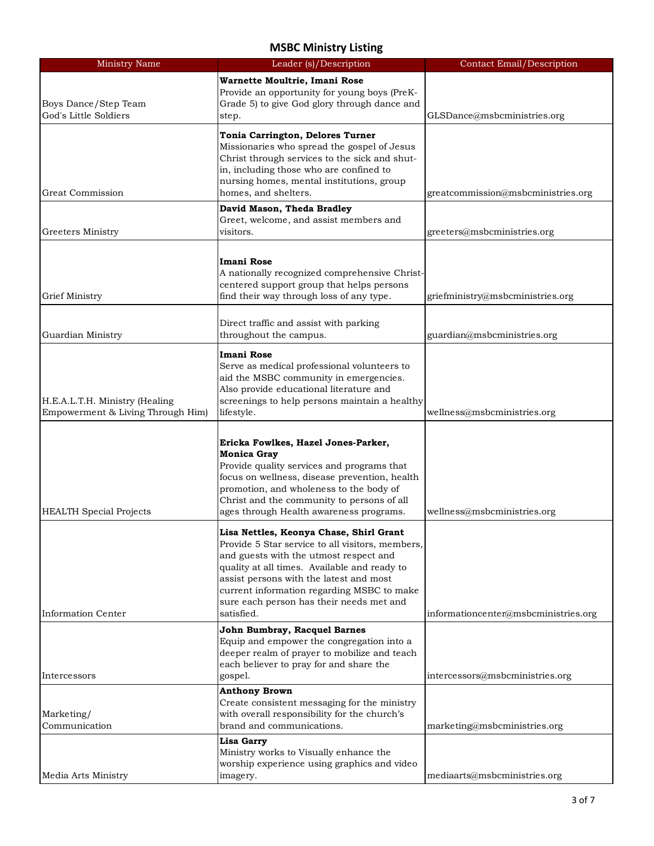| <b>Ministry Name</b>              | Leader (s)/Description                                                                       | <b>Contact Email/Description</b>     |
|-----------------------------------|----------------------------------------------------------------------------------------------|--------------------------------------|
|                                   | Warnette Moultrie, Imani Rose                                                                |                                      |
|                                   | Provide an opportunity for young boys (PreK-                                                 |                                      |
| Boys Dance/Step Team              | Grade 5) to give God glory through dance and                                                 |                                      |
| God's Little Soldiers             | step.                                                                                        | GLSDance@msbcministries.org          |
|                                   | Tonia Carrington, Delores Turner                                                             |                                      |
|                                   | Missionaries who spread the gospel of Jesus                                                  |                                      |
|                                   | Christ through services to the sick and shut-                                                |                                      |
|                                   | in, including those who are confined to                                                      |                                      |
|                                   | nursing homes, mental institutions, group                                                    |                                      |
| <b>Great Commission</b>           | homes, and shelters.                                                                         | greatcommission@msbcministries.org   |
|                                   | David Mason, Theda Bradley                                                                   |                                      |
|                                   | Greet, welcome, and assist members and                                                       |                                      |
| Greeters Ministry                 | visitors.                                                                                    | greeters@msbcministries.org          |
|                                   |                                                                                              |                                      |
|                                   | <b>Imani Rose</b>                                                                            |                                      |
|                                   | A nationally recognized comprehensive Christ-                                                |                                      |
| <b>Grief Ministry</b>             | centered support group that helps persons<br>find their way through loss of any type.        |                                      |
|                                   |                                                                                              | griefministry@msbcministries.org     |
|                                   | Direct traffic and assist with parking                                                       |                                      |
| Guardian Ministry                 | throughout the campus.                                                                       | guardian@msbcministries.org          |
|                                   |                                                                                              |                                      |
|                                   | <b>Imani Rose</b>                                                                            |                                      |
|                                   | Serve as medical professional volunteers to                                                  |                                      |
|                                   | aid the MSBC community in emergencies.<br>Also provide educational literature and            |                                      |
| H.E.A.L.T.H. Ministry (Healing    | screenings to help persons maintain a healthy                                                |                                      |
| Empowerment & Living Through Him) | lifestyle.                                                                                   | wellness@msbcministries.org          |
|                                   |                                                                                              |                                      |
|                                   | Ericka Fowlkes, Hazel Jones-Parker,                                                          |                                      |
|                                   | <b>Monica Gray</b>                                                                           |                                      |
|                                   | Provide quality services and programs that                                                   |                                      |
|                                   | focus on wellness, disease prevention, health                                                |                                      |
|                                   | promotion, and wholeness to the body of                                                      |                                      |
| <b>HEALTH Special Projects</b>    | Christ and the community to persons of all<br>ages through Health awareness programs.        | wellness@msbcministries.org          |
|                                   |                                                                                              |                                      |
|                                   | Lisa Nettles, Keonya Chase, Shirl Grant                                                      |                                      |
|                                   | Provide 5 Star service to all visitors, members,                                             |                                      |
|                                   | and guests with the utmost respect and                                                       |                                      |
|                                   | quality at all times. Available and ready to<br>assist persons with the latest and most      |                                      |
|                                   | current information regarding MSBC to make                                                   |                                      |
|                                   | sure each person has their needs met and                                                     |                                      |
| Information Center                | satisfied.                                                                                   | informationcenter@msbcministries.org |
|                                   | John Bumbray, Racquel Barnes                                                                 |                                      |
|                                   | Equip and empower the congregation into a                                                    |                                      |
|                                   | deeper realm of prayer to mobilize and teach                                                 |                                      |
|                                   | each believer to pray for and share the                                                      |                                      |
| Intercessors                      | gospel.                                                                                      | intercessors@msbcministries.org      |
|                                   | <b>Anthony Brown</b>                                                                         |                                      |
| Marketing/                        | Create consistent messaging for the ministry<br>with overall responsibility for the church's |                                      |
| Communication                     | brand and communications.                                                                    | marketing@msbcministries.org         |
|                                   | <b>Lisa Garry</b>                                                                            |                                      |
|                                   | Ministry works to Visually enhance the                                                       |                                      |
|                                   | worship experience using graphics and video                                                  |                                      |
| Media Arts Ministry               | imagery.                                                                                     | mediaarts@msbcministries.org         |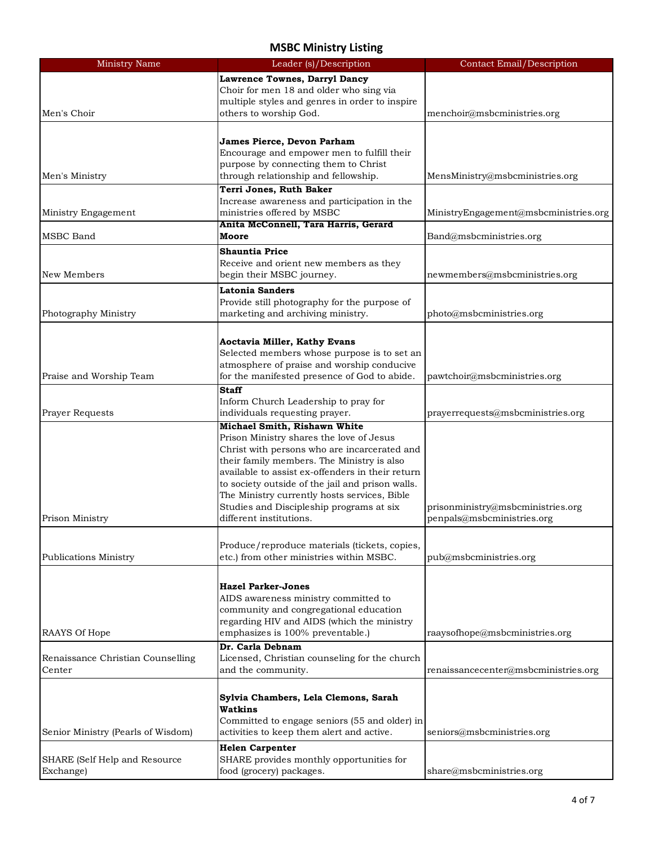| <b>Ministry Name</b>               | Leader (s)/Description                                                                   | <b>Contact Email/Description</b>      |
|------------------------------------|------------------------------------------------------------------------------------------|---------------------------------------|
|                                    | Lawrence Townes, Darryl Dancy                                                            |                                       |
|                                    | Choir for men 18 and older who sing via                                                  |                                       |
|                                    | multiple styles and genres in order to inspire                                           |                                       |
| Men's Choir                        | others to worship God.                                                                   | menchoir@msbcministries.org           |
|                                    |                                                                                          |                                       |
|                                    | James Pierce, Devon Parham                                                               |                                       |
|                                    | Encourage and empower men to fulfill their                                               |                                       |
|                                    | purpose by connecting them to Christ                                                     |                                       |
| Men's Ministry                     | through relationship and fellowship.                                                     | MensMinistry@msbcministries.org       |
|                                    | Terri Jones, Ruth Baker                                                                  |                                       |
| Ministry Engagement                | Increase awareness and participation in the<br>ministries offered by MSBC                | MinistryEngagement@msbcministries.org |
|                                    | Anita McConnell, Tara Harris, Gerard                                                     |                                       |
| <b>MSBC</b> Band                   | Moore                                                                                    | Band@msbcministries.org               |
|                                    | <b>Shauntia Price</b>                                                                    |                                       |
|                                    | Receive and orient new members as they                                                   |                                       |
| New Members                        | begin their MSBC journey.                                                                | newmembers@msbcministries.org         |
|                                    | <b>Latonia Sanders</b>                                                                   |                                       |
|                                    | Provide still photography for the purpose of                                             |                                       |
| Photography Ministry               | marketing and archiving ministry.                                                        | photo@msbcministries.org              |
|                                    |                                                                                          |                                       |
|                                    | Aoctavia Miller, Kathy Evans                                                             |                                       |
|                                    | Selected members whose purpose is to set an                                              |                                       |
|                                    | atmosphere of praise and worship conducive                                               |                                       |
| Praise and Worship Team            | for the manifested presence of God to abide.                                             | pawtchoir@msbcministries.org          |
|                                    | <b>Staff</b>                                                                             |                                       |
|                                    | Inform Church Leadership to pray for                                                     |                                       |
| Prayer Requests                    | individuals requesting prayer.                                                           | prayerrequests@msbcministries.org     |
|                                    | Michael Smith, Rishawn White                                                             |                                       |
|                                    | Prison Ministry shares the love of Jesus<br>Christ with persons who are incarcerated and |                                       |
|                                    | their family members. The Ministry is also                                               |                                       |
|                                    | available to assist ex-offenders in their return                                         |                                       |
|                                    | to society outside of the jail and prison walls.                                         |                                       |
|                                    | The Ministry currently hosts services, Bible                                             |                                       |
|                                    | Studies and Discipleship programs at six                                                 | prisonministry@msbcministries.org     |
| Prison Ministry                    | different institutions.                                                                  | penpals@msbcministries.org            |
|                                    |                                                                                          |                                       |
|                                    | Produce/reproduce materials (tickets, copies,                                            |                                       |
| <b>Publications Ministry</b>       | etc.) from other ministries within MSBC.                                                 | pub@msbcministries.org                |
|                                    |                                                                                          |                                       |
|                                    | <b>Hazel Parker-Jones</b>                                                                |                                       |
|                                    | AIDS awareness ministry committed to                                                     |                                       |
|                                    | community and congregational education                                                   |                                       |
| RAAYS Of Hope                      | regarding HIV and AIDS (which the ministry<br>emphasizes is 100% preventable.)           | raaysofhope@msbcministries.org        |
|                                    | Dr. Carla Debnam                                                                         |                                       |
| Renaissance Christian Counselling  | Licensed, Christian counseling for the church                                            |                                       |
| Center                             | and the community.                                                                       | renaissancecenter@msbcministries.org  |
|                                    |                                                                                          |                                       |
|                                    | Sylvia Chambers, Lela Clemons, Sarah                                                     |                                       |
|                                    | Watkins                                                                                  |                                       |
|                                    | Committed to engage seniors (55 and older) in                                            |                                       |
| Senior Ministry (Pearls of Wisdom) | activities to keep them alert and active.                                                | seniors@msbcministries.org            |
|                                    | <b>Helen Carpenter</b>                                                                   |                                       |
| SHARE (Self Help and Resource      | SHARE provides monthly opportunities for                                                 |                                       |
| Exchange)                          | food (grocery) packages.                                                                 | share@msbcministries.org              |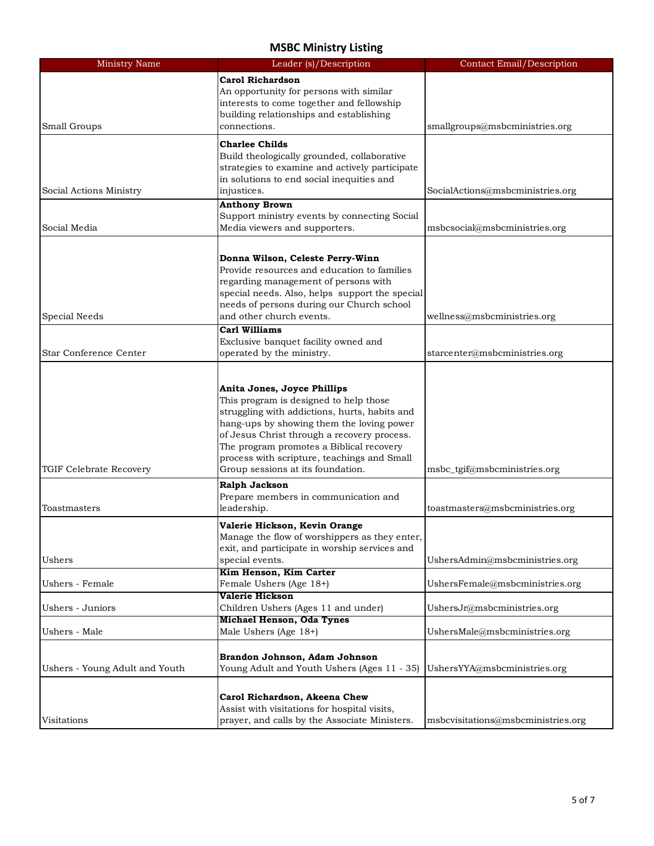| <b>Ministry Name</b>           | Leader (s)/Description                                                                        | <b>Contact Email/Description</b>   |
|--------------------------------|-----------------------------------------------------------------------------------------------|------------------------------------|
|                                | <b>Carol Richardson</b>                                                                       |                                    |
|                                | An opportunity for persons with similar                                                       |                                    |
|                                | interests to come together and fellowship                                                     |                                    |
|                                | building relationships and establishing                                                       |                                    |
| Small Groups                   | connections.                                                                                  | smallgroups@msbcministries.org     |
|                                |                                                                                               |                                    |
|                                | <b>Charlee Childs</b>                                                                         |                                    |
|                                | Build theologically grounded, collaborative<br>strategies to examine and actively participate |                                    |
|                                | in solutions to end social inequities and                                                     |                                    |
| Social Actions Ministry        | injustices.                                                                                   | SocialActions@msbcministries.org   |
|                                | <b>Anthony Brown</b>                                                                          |                                    |
|                                | Support ministry events by connecting Social                                                  |                                    |
| Social Media                   | Media viewers and supporters.                                                                 | msbcsocial@msbcministries.org      |
|                                |                                                                                               |                                    |
|                                |                                                                                               |                                    |
|                                | Donna Wilson, Celeste Perry-Winn                                                              |                                    |
|                                | Provide resources and education to families                                                   |                                    |
|                                | regarding management of persons with                                                          |                                    |
|                                | special needs. Also, helps support the special                                                |                                    |
|                                | needs of persons during our Church school                                                     |                                    |
| Special Needs                  | and other church events.                                                                      | wellness@msbcministries.org        |
|                                | <b>Carl Williams</b>                                                                          |                                    |
| Star Conference Center         | Exclusive banquet facility owned and                                                          |                                    |
|                                | operated by the ministry.                                                                     | starcenter@msbcministries.org      |
|                                |                                                                                               |                                    |
|                                | Anita Jones, Joyce Phillips                                                                   |                                    |
|                                | This program is designed to help those                                                        |                                    |
|                                | struggling with addictions, hurts, habits and                                                 |                                    |
|                                | hang-ups by showing them the loving power                                                     |                                    |
|                                | of Jesus Christ through a recovery process.                                                   |                                    |
|                                | The program promotes a Biblical recovery                                                      |                                    |
|                                | process with scripture, teachings and Small                                                   |                                    |
| TGIF Celebrate Recovery        | Group sessions at its foundation.                                                             | msbc_tgif@msbcministries.org       |
|                                | Ralph Jackson                                                                                 |                                    |
|                                | Prepare members in communication and                                                          |                                    |
| Toastmasters                   | leadership.                                                                                   | toastmasters@msbcministries.org    |
|                                |                                                                                               |                                    |
|                                | Valerie Hickson, Kevin Orange<br>Manage the flow of worshippers as they enter,                |                                    |
|                                | exit, and participate in worship services and                                                 |                                    |
| Ushers                         | special events.                                                                               | UshersAdmin@msbcministries.org     |
|                                | Kim Henson, Kim Carter                                                                        |                                    |
| Ushers - Female                | Female Ushers (Age 18+)                                                                       | UshersFemale@msbcministries.org    |
|                                | Valerie Hickson                                                                               |                                    |
| Ushers - Juniors               | Children Ushers (Ages 11 and under)                                                           | UshersJr@msbcministries.org        |
|                                | Michael Henson, Oda Tynes                                                                     |                                    |
| Ushers - Male                  | Male Ushers (Age 18+)                                                                         | UshersMale@msbcministries.org      |
|                                |                                                                                               |                                    |
|                                | Brandon Johnson, Adam Johnson                                                                 |                                    |
| Ushers - Young Adult and Youth | Young Adult and Youth Ushers (Ages 11 - 35)                                                   | UshersYYA@msbcministries.org       |
|                                |                                                                                               |                                    |
|                                | Carol Richardson, Akeena Chew                                                                 |                                    |
|                                | Assist with visitations for hospital visits,                                                  |                                    |
| Visitations                    | prayer, and calls by the Associate Ministers.                                                 | msbcvisitations@msbcministries.org |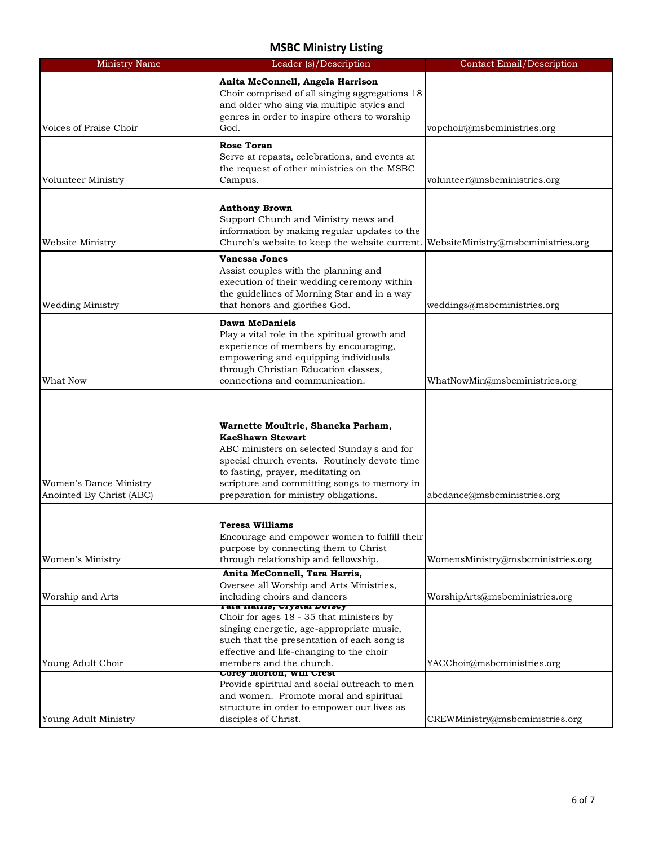| <b>Ministry Name</b>                               | Leader (s)/Description                                                                                                                                                                                                                                                                   | <b>Contact Email/Description</b>   |
|----------------------------------------------------|------------------------------------------------------------------------------------------------------------------------------------------------------------------------------------------------------------------------------------------------------------------------------------------|------------------------------------|
| Voices of Praise Choir                             | Anita McConnell, Angela Harrison<br>Choir comprised of all singing aggregations 18<br>and older who sing via multiple styles and<br>genres in order to inspire others to worship<br>God.                                                                                                 | vopchoir@msbcministries.org        |
|                                                    |                                                                                                                                                                                                                                                                                          |                                    |
| Volunteer Ministry                                 | <b>Rose Toran</b><br>Serve at repasts, celebrations, and events at<br>the request of other ministries on the MSBC<br>Campus.                                                                                                                                                             | volunteer@msbcministries.org       |
| Website Ministry                                   | <b>Anthony Brown</b><br>Support Church and Ministry news and<br>information by making regular updates to the<br>Church's website to keep the website current.                                                                                                                            | WebsiteMinistry@msbcministries.org |
| <b>Wedding Ministry</b>                            | <b>Vanessa Jones</b><br>Assist couples with the planning and<br>execution of their wedding ceremony within<br>the guidelines of Morning Star and in a way<br>that honors and glorifies God.                                                                                              | weddings@msbcministries.org        |
| What Now                                           | <b>Dawn McDaniels</b><br>Play a vital role in the spiritual growth and<br>experience of members by encouraging,<br>empowering and equipping individuals<br>through Christian Education classes,<br>connections and communication.                                                        | WhatNowMin@msbcministries.org      |
| Women's Dance Ministry<br>Anointed By Christ (ABC) | Warnette Moultrie, Shaneka Parham,<br><b>KaeShawn Stewart</b><br>ABC ministers on selected Sunday's and for<br>special church events. Routinely devote time<br>to fasting, prayer, meditating on<br>scripture and committing songs to memory in<br>preparation for ministry obligations. | abcdance@msbcministries.org        |
| Women's Ministry                                   | <b>Teresa Williams</b><br>Encourage and empower women to fulfill their<br>purpose by connecting them to Christ<br>through relationship and fellowship.                                                                                                                                   | WomensMinistry@msbcministries.org  |
| Worship and Arts                                   | Anita McConnell, Tara Harris,<br>Oversee all Worship and Arts Ministries,<br>including choirs and dancers<br>Tara narris, crystal Dorsey                                                                                                                                                 | WorshipArts@msbcministries.org     |
| Young Adult Choir                                  | Choir for ages 18 - 35 that ministers by<br>singing energetic, age-appropriate music,<br>such that the presentation of each song is<br>effective and life-changing to the choir<br>members and the church.                                                                               | YACChoir@msbcministries.org        |
| Young Adult Ministry                               | Corey Morton, WIII Crest<br>Provide spiritual and social outreach to men<br>and women. Promote moral and spiritual<br>structure in order to empower our lives as<br>disciples of Christ.                                                                                                 | CREWMinistry@msbcministries.org    |